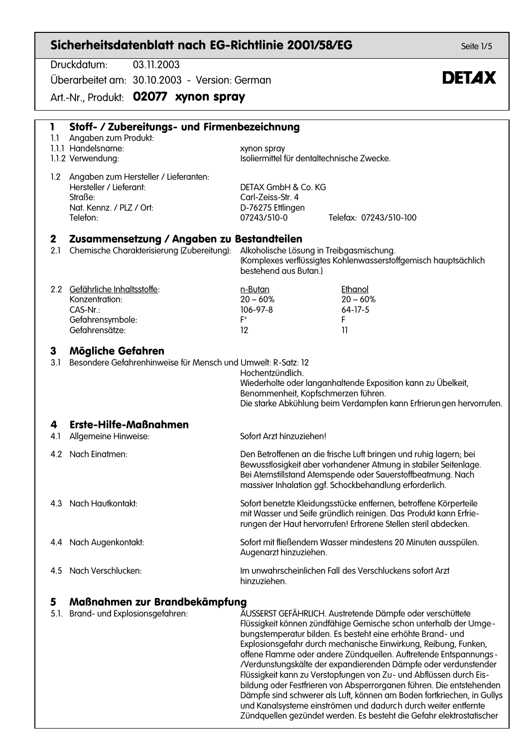|                    | Sicherheitsdatenblatt nach EG-Richtlinie 2001/58/EG                                                                                                                                                                              |                                                                                                                                                                                                           |                                                                                                                                                                                                                                                                                                                                                                                                                                                                                                                                                                                                                               | Seite 1/5    |
|--------------------|----------------------------------------------------------------------------------------------------------------------------------------------------------------------------------------------------------------------------------|-----------------------------------------------------------------------------------------------------------------------------------------------------------------------------------------------------------|-------------------------------------------------------------------------------------------------------------------------------------------------------------------------------------------------------------------------------------------------------------------------------------------------------------------------------------------------------------------------------------------------------------------------------------------------------------------------------------------------------------------------------------------------------------------------------------------------------------------------------|--------------|
|                    | Druckdatum:<br>03.11.2003<br>Überarbeitet am: 30.10.2003 - Version: German                                                                                                                                                       |                                                                                                                                                                                                           |                                                                                                                                                                                                                                                                                                                                                                                                                                                                                                                                                                                                                               | <b>DETAX</b> |
|                    | Art.-Nr., Produkt: 02077 xynon spray                                                                                                                                                                                             |                                                                                                                                                                                                           |                                                                                                                                                                                                                                                                                                                                                                                                                                                                                                                                                                                                                               |              |
| 1<br>1.1           | Stoff- / Zubereitungs- und Firmenbezeichnung<br>Angaben zum Produkt:<br>1.1.1 Handelsname:<br>1.1.2 Verwendung:                                                                                                                  | xynon spray                                                                                                                                                                                               | Isoliermittel für dentaltechnische Zwecke.                                                                                                                                                                                                                                                                                                                                                                                                                                                                                                                                                                                    |              |
|                    | 1.2 Angaben zum Hersteller / Lieferanten:<br>Hersteller / Lieferant:<br>Straße:<br>Nat. Kennz. / PLZ / Ort:<br>Telefon:                                                                                                          | DETAX GmbH & Co. KG<br>Carl-Zeiss-Str. 4<br>D-76275 Ettlingen<br>07243/510-0                                                                                                                              | Telefax: 07243/510-100                                                                                                                                                                                                                                                                                                                                                                                                                                                                                                                                                                                                        |              |
| $\mathbf 2$<br>2.1 | Zusammensetzung / Angaben zu Bestandteilen<br>Chemische Charakterisierung (Zubereitung):<br>Alkoholische Lösung in Treibgasmischung.<br>(Komplexes verflüssigtes Kohlenwasserstoffgemisch hauptsächlich<br>bestehend aus Butan.) |                                                                                                                                                                                                           |                                                                                                                                                                                                                                                                                                                                                                                                                                                                                                                                                                                                                               |              |
|                    | 2.2 Gefährliche Inhaltsstoffe:<br>Konzentration:<br>CAS-Nr.:<br>Gefahrensymbole:<br>Gefahrensätze:                                                                                                                               | n-Butan<br>$20 - 60%$<br>106-97-8<br>$F^+$<br>$12 \,$                                                                                                                                                     | Ethanol<br>$20 - 60%$<br>$64-17-5$<br>F<br>11                                                                                                                                                                                                                                                                                                                                                                                                                                                                                                                                                                                 |              |
| 3<br>3.1           | Mögliche Gefahren<br>Besondere Gefahrenhinweise für Mensch und Umwelt: R-Satz: 12                                                                                                                                                | Hochentzündlich.<br>Benommenheit, Kopfschmerzen führen.                                                                                                                                                   | Wiederholte oder langanhaltende Exposition kann zu Übelkeit,<br>Die starke Abkühlung beim Verdampfen kann Erfrierungen hervorrufen.                                                                                                                                                                                                                                                                                                                                                                                                                                                                                           |              |
| 4<br>4.I           | <b>Erste-Hilfe-Maßnahmen</b><br>Allgemeine Hinweise:                                                                                                                                                                             | Sofort Arzt hinzuziehen!                                                                                                                                                                                  |                                                                                                                                                                                                                                                                                                                                                                                                                                                                                                                                                                                                                               |              |
|                    | 4.2 Nach Einatmen:                                                                                                                                                                                                               |                                                                                                                                                                                                           | Den Betroffenen an die frische Luft bringen und ruhig lagern; bei<br>Bewusstlosigkeit aber vorhandener Atmung in stabiler Seitenlage.<br>Bei Atemstillstand Atemspende oder Sauerstoffbeatmung. Nach<br>massiver Inhalation ggf. Schockbehandlung erforderlich.                                                                                                                                                                                                                                                                                                                                                               |              |
| 4.3                | Nach Hautkontakt:                                                                                                                                                                                                                | Sofort benetzte Kleidungsstücke entfernen, betroffene Körperteile<br>mit Wasser und Seife gründlich reinigen. Das Produkt kann Erfrie-<br>rungen der Haut hervorrufen! Erfrorene Stellen steril abdecken. |                                                                                                                                                                                                                                                                                                                                                                                                                                                                                                                                                                                                                               |              |
|                    | 4.4 Nach Augenkontakt:                                                                                                                                                                                                           | Augenarzt hinzuziehen.                                                                                                                                                                                    | Sofort mit fließendem Wasser mindestens 20 Minuten ausspülen.                                                                                                                                                                                                                                                                                                                                                                                                                                                                                                                                                                 |              |
| 4.5                | Nach Verschlucken:                                                                                                                                                                                                               | hinzuziehen.                                                                                                                                                                                              | Im unwahrscheinlichen Fall des Verschluckens sofort Arzt                                                                                                                                                                                                                                                                                                                                                                                                                                                                                                                                                                      |              |
| 5<br>5.1.          | Maßnahmen zur Brandbekämpfung<br>Brand- und Explosionsgefahren:                                                                                                                                                                  |                                                                                                                                                                                                           | ÄUSSERST GEFÄHRLICH. Austretende Dämpfe oder verschüttete<br>Flüssigkeit können zündfähige Gemische schon unterhalb der Umge-<br>bungstemperatur bilden. Es besteht eine erhöhte Brand- und<br>Explosionsgefahr durch mechanische Einwirkung, Reibung, Funken,<br>offene Flamme oder andere Zündquellen. Auftretende Entspannungs-<br>/Verdunstungskälte der expandierenden Dämpfe oder verdunstender<br>Flüssigkeit kann zu Verstopfungen von Zu- und Abflüssen durch Eis-<br>bildung oder Festfrieren von Absperrorganen führen. Die entstehenden<br>Dämpfe sind schwerer als Luft, können am Boden fortkriechen, in Gullys |              |

und Kanalsysteme einströmen und dadurch durch weiter entfernte Zündquellen gezündet werden. Es besteht die Gefahr elektrostatischer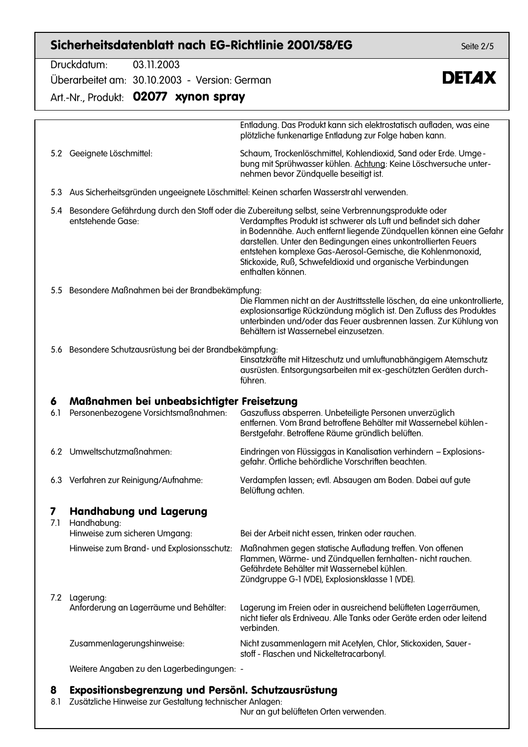### Sicherheitsdatenblatt nach EG-Richtlinie 2001/58/EG

Druckdatum: 03 11 2003

5.2 Geeignete Löschmittel:

Überarbeitet am: 30.10.2003 - Version: German

Art.-Nr., Produkt: 02077 xynon spray

Entladung. Das Produkt kann sich elektrostatisch aufladen, was eine plötzliche funkenartige Entladung zur Folge haben kann.

Schaum, Trockenlöschmittel, Kohlendioxid, Sand oder Erde. Umgebung mit Sprühwasser kühlen. Achtung: Keine Löschversuche unternehmen bevor Zündquelle beseitigt ist.

5.3 Aus Sicherheitsgründen ungeeignete Löschmittel: Keinen scharfen Wasserstrahl verwenden.

5.4 Besondere Gefährdung durch den Stoff oder die Zubereitung selbst, seine Verbrennungsprodukte oder entstehende Gase: Verdampftes Produkt ist schwerer als Luft und befindet sich daher in Bodennähe. Auch entfernt liegende Zündauellen können eine Gefahr darstellen. Unter den Bedinaungen eines unkontrollierten Feuers entstehen komplexe Gas-Aerosol-Gemische, die Kohlenmonoxid, Stickoxide, Ruß, Schwefeldioxid und organische Verbindungen enthalten können.

5.5 Besondere Maßnahmen bei der Brandbekämpfung:

Die Flammen nicht an der Austrittsstelle löschen, da eine unkontrollierte, explosionsartige Rückzündung möglich ist. Den Zufluss des Produktes unterbinden und/oder das Feuer ausbrennen lassen. Zur Kühlung von Behältern ist Wassernebel einzusetzen.

5.6 Besondere Schutzausrüstung bei der Brandbekämpfung:

Einsatzkräfte mit Hitzeschutz und umluftunabhängigem Atemschutz ausrüsten. Entsorgungsarbeiten mit ex-geschützten Geräten durchführen.

#### Maßnahmen bei unbeabsichtigter Freisetzung 6

6.1 Personenbezogene Vorsichtsmaßnahmen: Gaszufluss absperren. Unbeteiligte Personen unverzüglich entfernen. Vom Brand betroffene Behälter mit Wassernebel kühlen-Berstgefahr. Betroffene Räume gründlich belüften. 6.2 Umweltschutzmaßnahmen: Eindringen von Flüssiggas in Kanalisation verhindern - Explosionsgefahr. Örtliche behördliche Vorschriften beachten.

Belüftung achten.

6.3 Verfahren zur Reinigung/Aufnahme:

#### $\overline{\mathbf{z}}$ **Handhabung und Lagerung**

7.1 Handhabuna: Hinweise zum sicheren Umgang: Bei der Arbeit nicht essen, trinken oder rauchen. Hinweise zum Brand- und Explosionsschutz: Maßnahmen gegen statische Aufladung treffen. Von offenen Flammen, Wärme- und Zündquellen fernhalten- nicht rauchen. Gefährdete Behälter mit Wassernebel kühlen. Zündgruppe G-1 (VDE), Explosionsklasse 1 (VDE). 7.2 Lagerung: Anforderung an Lagerräume und Behälter: Lagerung im Freien oder in ausreichend belüfteten Lagerräumen. verbinden Zusammenlagerungshinweise: Nicht zusammenlagern mit Acetylen, Chlor, Stickoxiden, Sauerstoff - Flaschen und Nickeltetracarbonyl.

Weitere Angaben zu den Lagerbedingungen: -

#### Expositionsbegrenzung und Persönl. Schutzausrüstung 8

8.1 Zusätzliche Hinweise zur Gestaltung technischer Anlagen:

Nur an gut belüfteten Orten verwenden.

Seite  $2/5$ 



nicht tiefer als Frdniveau. Alle Tanks oder Geräte erden oder leitend

Verdampfen lassen; evtl. Absaugen am Boden. Dabei auf gute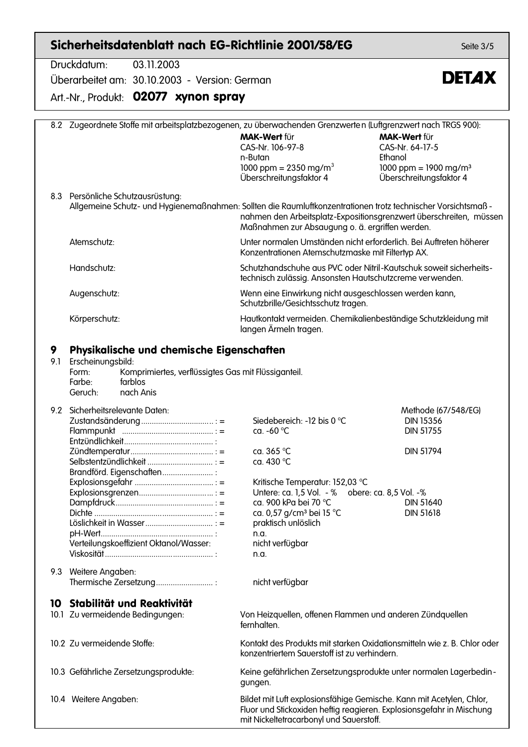## Sicherheitsdatenblatt nach EG-Richtlinie 2001/58/EG

Druckdatum: 03.11.2003 Überarbeitet am: 30.10.2003 - Version: German

Art.-Nr., Produkt: 02077 xynon spray

|     | 8.2 Zugeordnete Stoffe mit arbeitsplatzbezogenen, zu überwachenden Grenzwerten (Luftgrenzwert nach TRGS 900):                                     |                                                                         |                                   |
|-----|---------------------------------------------------------------------------------------------------------------------------------------------------|-------------------------------------------------------------------------|-----------------------------------|
|     |                                                                                                                                                   | <b>MAK-Wert für</b>                                                     | <b>MAK-Wert für</b>               |
|     |                                                                                                                                                   | CAS-Nr. 106-97-8                                                        | CAS-Nr. 64-17-5                   |
|     |                                                                                                                                                   | n-Butan                                                                 | Ethanol                           |
|     |                                                                                                                                                   | 1000 ppm = $2350$ mg/m <sup>3</sup>                                     | 1000 ppm = 1900 mg/m <sup>3</sup> |
|     |                                                                                                                                                   | Überschreitungsfaktor 4                                                 | Überschreitungsfaktor 4           |
|     |                                                                                                                                                   |                                                                         |                                   |
|     | 8.3 Persönliche Schutzausrüstung:<br>Allgemeine Schutz- und Hygienemaßnahmen: Sollten die Raumluftkonzentrationen trotz technischer Vorsichtsmaß- |                                                                         |                                   |
|     |                                                                                                                                                   | nahmen den Arbeitsplatz-Expositionsgrenzwert überschreiten, müssen      |                                   |
|     |                                                                                                                                                   | Maßnahmen zur Absaugung o. ä. ergriffen werden.                         |                                   |
|     | Atemschutz:                                                                                                                                       | Unter normalen Umständen nicht erforderlich. Bei Auftreten höherer      |                                   |
|     |                                                                                                                                                   | Konzentrationen Atemschutzmaske mit Filtertyp AX.                       |                                   |
|     | Handschutz:                                                                                                                                       | Schutzhandschuhe aus PVC oder Nitril-Kautschuk soweit sicherheits-      |                                   |
|     |                                                                                                                                                   | technisch zulässig. Ansonsten Hautschutzcreme verwenden.                |                                   |
|     |                                                                                                                                                   | Wenn eine Einwirkung nicht ausgeschlossen werden kann,                  |                                   |
|     | Augenschutz:                                                                                                                                      | Schutzbrille/Gesichtsschutz tragen.                                     |                                   |
|     | Körperschutz:                                                                                                                                     | Hautkontakt vermeiden. Chemikalienbeständige Schutzkleidung mit         |                                   |
|     |                                                                                                                                                   | langen Ärmeln tragen.                                                   |                                   |
| 9   | Physikalische und chemische Eigenschaften                                                                                                         |                                                                         |                                   |
| 9.1 | Erscheinungsbild:                                                                                                                                 |                                                                         |                                   |
|     | Komprimiertes, verflüssigtes Gas mit Flüssiganteil.<br>Form:                                                                                      |                                                                         |                                   |
|     | Farbe:<br>farblos                                                                                                                                 |                                                                         |                                   |
|     | nach Anis<br>Geruch:                                                                                                                              |                                                                         |                                   |
|     |                                                                                                                                                   |                                                                         |                                   |
| 9.2 | Sicherheitsrelevante Daten:                                                                                                                       |                                                                         | Methode (67/548/EG)               |
|     | Zustandsänderung : =                                                                                                                              | Siedebereich: -12 bis 0 °C                                              | <b>DIN 15356</b>                  |
|     |                                                                                                                                                   | ca. -60 °C                                                              | <b>DIN 51755</b>                  |
|     |                                                                                                                                                   | ca. $365^{\circ}$ C                                                     | <b>DIN 51794</b>                  |
|     |                                                                                                                                                   | ca. 430 °C                                                              |                                   |
|     | Brandförd. Eigenschaften                                                                                                                          |                                                                         |                                   |
|     |                                                                                                                                                   | Kritische Temperatur: 152,03 °C                                         |                                   |
|     |                                                                                                                                                   | Untere: ca. 1,5 Vol. - % obere: ca. 8,5 Vol. -%                         |                                   |
|     |                                                                                                                                                   | ca. 900 kPa bei 70 °C                                                   | <b>DIN 51640</b>                  |
|     |                                                                                                                                                   | ca. 0,57 g/cm <sup>3</sup> bei 15 °C                                    | <b>DIN 51618</b>                  |
|     |                                                                                                                                                   | praktisch unlöslich                                                     |                                   |
|     |                                                                                                                                                   | n.a.                                                                    |                                   |
|     | Verteilungskoeffizient Oktanol/Wasser:                                                                                                            | nicht verfügbar                                                         |                                   |
|     |                                                                                                                                                   | n.a.                                                                    |                                   |
|     | 9.3 Weitere Angaben:                                                                                                                              |                                                                         |                                   |
|     | Thermische Zersetzung                                                                                                                             | nicht verfügbar                                                         |                                   |
|     | 10 Stabilität und Reaktivität                                                                                                                     |                                                                         |                                   |
|     | 10.1 Zu vermeidende Bedingungen:                                                                                                                  | Von Heizquellen, offenen Flammen und anderen Zündquellen                |                                   |
|     |                                                                                                                                                   | fernhalten.                                                             |                                   |
|     | 10.2 Zu vermeidende Stoffe:                                                                                                                       | Kontakt des Produkts mit starken Oxidationsmitteln wie z. B. Chlor oder |                                   |
|     |                                                                                                                                                   | konzentriertem Sauerstoff ist zu verhindern.                            |                                   |
|     |                                                                                                                                                   |                                                                         |                                   |
|     | 10.3 Gefährliche Zersetzungsprodukte:                                                                                                             | Keine gefährlichen Zersetzungsprodukte unter normalen Lagerbedin-       |                                   |
|     |                                                                                                                                                   | gungen.                                                                 |                                   |
|     | 10.4 Weitere Angaben:                                                                                                                             | Bildet mit Luft explosionsfähige Gemische. Kann mit Acetylen, Chlor,    |                                   |
|     |                                                                                                                                                   | Fluor und Stickoxiden heftig reagieren. Explosionsgefahr in Mischung    |                                   |
|     |                                                                                                                                                   | mit Nickeltetracarbonyl und Sauerstoff.                                 |                                   |

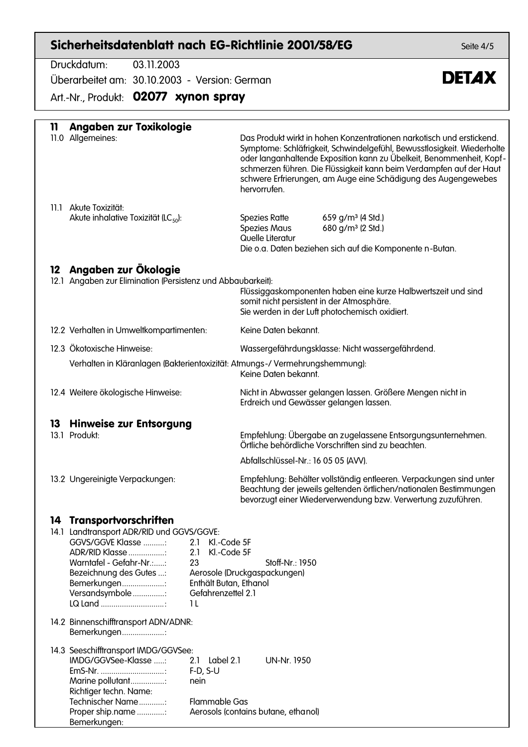### Sicherheitsdatenblatt nach EG-Richtlinie 2001/58/EG

Druckdatum: 03.11.2003 Überarbeitet am: 30.10.2003 - Version: German

Art.-Nr., Produkt: 02077 xynon spray

| 11   | Angaben zur Toxikologie                                                                                                                                                                                                                                                                                                |                                                                                                                                                                                                                                                                                                                                                                                   |
|------|------------------------------------------------------------------------------------------------------------------------------------------------------------------------------------------------------------------------------------------------------------------------------------------------------------------------|-----------------------------------------------------------------------------------------------------------------------------------------------------------------------------------------------------------------------------------------------------------------------------------------------------------------------------------------------------------------------------------|
|      | 11.0 Allgemeines:                                                                                                                                                                                                                                                                                                      | Das Produkt wirkt in hohen Konzentrationen narkotisch und erstickend.<br>Symptome: Schläfrigkeit, Schwindelgefühl, Bewusstlosigkeit. Wiederholte<br>oder langanhaltende Exposition kann zu Übelkeit, Benommenheit, Kopf-<br>schmerzen führen. Die Flüssigkeit kann beim Verdampfen auf der Haut<br>schwere Erfrierungen, am Auge eine Schädigung des Augengewebes<br>hervorrufen. |
|      | 11.1 Akute Toxizität:<br>Akute inhalative Toxizität (LC $_{50}$ ):                                                                                                                                                                                                                                                     | 659 g/m <sup>3</sup> (4 Std.)<br>Spezies Ratte<br>Spezies Maus<br>680 g/m <sup>3</sup> (2 Std.)<br>Quelle Literatur<br>Die o.a. Daten beziehen sich auf die Komponente n-Butan.                                                                                                                                                                                                   |
| 12   | Angaben zur Ökologie                                                                                                                                                                                                                                                                                                   |                                                                                                                                                                                                                                                                                                                                                                                   |
| 12.1 | Angaben zur Elimination (Persistenz und Abbaubarkeit):                                                                                                                                                                                                                                                                 | Flüssiggaskomponenten haben eine kurze Halbwertszeit und sind<br>somit nicht persistent in der Atmosphäre.<br>Sie werden in der Luft photochemisch oxidiert.                                                                                                                                                                                                                      |
|      | 12.2 Verhalten in Umweltkompartimenten:                                                                                                                                                                                                                                                                                | Keine Daten bekannt.                                                                                                                                                                                                                                                                                                                                                              |
|      | 12.3 Ökotoxische Hinweise:                                                                                                                                                                                                                                                                                             | Wassergefährdungsklasse: Nicht wassergefährdend.                                                                                                                                                                                                                                                                                                                                  |
|      | Verhalten in Kläranlagen (Bakterientoxizität: Atmungs-/Vermehrungshemmung):                                                                                                                                                                                                                                            | Keine Daten bekannt.                                                                                                                                                                                                                                                                                                                                                              |
|      | 12.4 Weitere ökologische Hinweise:                                                                                                                                                                                                                                                                                     | Nicht in Abwasser gelangen lassen. Größere Mengen nicht in<br>Erdreich und Gewässer gelangen lassen.                                                                                                                                                                                                                                                                              |
| 13   | <b>Hinweise zur Entsorgung</b>                                                                                                                                                                                                                                                                                         |                                                                                                                                                                                                                                                                                                                                                                                   |
|      | 13.1 Produkt:                                                                                                                                                                                                                                                                                                          | Empfehlung: Übergabe an zugelassene Entsorgungsunternehmen.<br>Örtliche behördliche Vorschriften sind zu beachten.                                                                                                                                                                                                                                                                |
|      |                                                                                                                                                                                                                                                                                                                        | Abfallschlüssel-Nr.: 16 05 05 (AVV).                                                                                                                                                                                                                                                                                                                                              |
|      | 13.2 Ungereinigte Verpackungen:                                                                                                                                                                                                                                                                                        | Empfehlung: Behälter vollständig entleeren. Verpackungen sind unter<br>Beachtung der jeweils geltenden örtlichen/nationalen Bestimmungen<br>bevorzugt einer Wiederverwendung bzw. Verwertung zuzuführen.                                                                                                                                                                          |
| 14   | Transportvorschriften<br>14.1 Landtransport ADR/RID und GGVS/GGVE:<br>GGVS/GGVE Klasse :<br>Kl.-Code 5F<br>2.1<br>ADR/RID Klasse<br>Kl.-Code 5F<br>2.1<br>23<br>Warntafel - Gefahr-Nr<br>Bezeichnung des Gutes :<br>Bemerkungen:<br>Enthält Butan, Ethanol<br>Versandsymbole :<br>Gefahrenzettel 2.1<br>LQ Land<br>1 L | Stoff-Nr.: 1950<br>Aerosole (Druckgaspackungen)                                                                                                                                                                                                                                                                                                                                   |
|      | 14.2 Binnenschifftransport ADN/ADNR:<br>Bemerkungen                                                                                                                                                                                                                                                                    |                                                                                                                                                                                                                                                                                                                                                                                   |
|      | 14.3 Seeschifftransport IMDG/GGVSee:<br>IMDG/GGVSee-Klasse :<br>Label 2.1<br>2.1<br>$F-D, S-U$<br>EmS-Nr.<br>Marine pollutant<br>nein<br>Richtiger techn. Name:<br>Technischer Name<br><b>Flammable Gas</b><br>Proper ship.name:<br>Bemerkungen:                                                                       | <b>UN-Nr. 1950</b><br>Aerosols (contains butane, ethanol)                                                                                                                                                                                                                                                                                                                         |

Seite 4/5

# **DETAX**